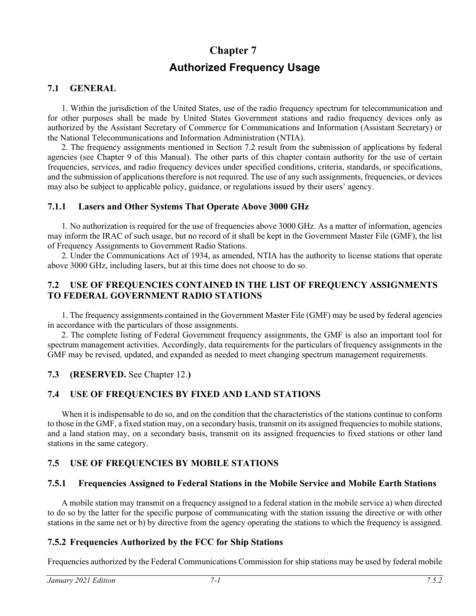# **Chapter 7 Authorized Frequency Usage**

#### **7.1 GENERAL**

1. Within the jurisdiction of the United States, use of the radio frequency spectrum for telecommunication and for other purposes shall be made by United States Government stations and radio frequency devices only as authorized by the Assistant Secretary of Commerce for Communications and Information (Assistant Secretary) or the National Telecommunications and Information Administration (NTIA).

2. The frequency assignments mentioned in Section 7.2 result from the submission of applications by federal agencies (see Chapter 9 of this Manual). The other parts of this chapter contain authority for the use of certain frequencies, services, and radio frequency devices under specified conditions, criteria, standards, or specifications, and the submission of applications therefore is not required. The use of any such assignments, frequencies, or devices may also be subject to applicable policy, guidance, or regulations issued by their users' agency.

#### **7.1.1 Lasers and Other Systems That Operate Above 3000 GHz**

1. No authorization is required for the use of frequencies above 3000 GHz. As a matter of information, agencies may inform the IRAC of such usage, but no record of it shall be kept in the Government Master File (GMF), the list of Frequency Assignments to Government Radio Stations.

2. Under the Communications Act of 1934, as amended, NTIA has the authority to license stations that operate above 3000 GHz, including lasers, but at this time does not choose to do so.

# **7.2 USE OF FREQUENCIES CONTAINED IN THE LIST OF FREQUENCY ASSIGNMENTS TO FEDERAL GOVERNMENT RADIO STATIONS**

1. The frequency assignments contained in the Government Master File (GMF) may be used by federal agencies in accordance with the particulars of those assignments.

2. The complete listing of Federal Government frequency assignments, the GMF is also an important tool for spectrum management activities. Accordingly, data requirements for the particulars of frequency assignments in the GMF may be revised, updated, and expanded as needed to meet changing spectrum management requirements.

# **7.3 (RESERVED.** See Chapter 12.**)**

# **7.4 USE OF FREQUENCIES BY FIXED AND LAND STATIONS**

When it is indispensable to do so, and on the condition that the characteristics of the stations continue to conform to those in the GMF, a fixed station may, on a secondary basis, transmit on its assigned frequencies to mobile stations, and a land station may, on a secondary basis, transmit on its assigned frequencies to fixed stations or other land stations in the same category.

# **7.5 USE OF FREQUENCIES BY MOBILE STATIONS**

# **7.5.1 Frequencies Assigned to Federal Stations in the Mobile Service and Mobile Earth Stations**

A mobile station may transmit on a frequency assigned to a federal station in the mobile service a) when directed to do so by the latter for the specific purpose of communicating with the station issuing the directive or with other stations in the same net or b) by directive from the agency operating the stations to which the frequency is assigned.

#### **7.5.2 Frequencies Authorized by the FCC for Ship Stations**

Frequencies authorized by the Federal Communications Commission for ship stations may be used by federal mobile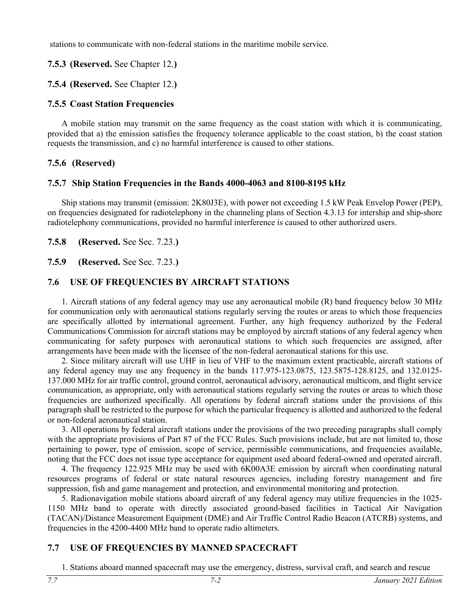stations to communicate with non-federal stations in the maritime mobile service.

# **7.5.3 (Reserved.** See Chapter 12.**)**

#### **7.5.4 (Reserved.** See Chapter 12.**)**

#### **7.5.5 Coast Station Frequencies**

A mobile station may transmit on the same frequency as the coast station with which it is communicating, provided that a) the emission satisfies the frequency tolerance applicable to the coast station, b) the coast station requests the transmission, and c) no harmful interference is caused to other stations.

# **7.5.6 (Reserved)**

#### **7.5.7 Ship Station Frequencies in the Bands 4000-4063 and 8100-8195 kHz**

Ship stations may transmit (emission: 2K80J3E), with power not exceeding 1.5 kW Peak Envelop Power (PEP), on frequencies designated for radiotelephony in the channeling plans of Section 4.3.13 for intership and ship-shore radiotelephony communications, provided no harmful interference is caused to other authorized users.

**7.5.8 (Reserved.** See Sec. 7.23.**)**

#### **7.5.9 (Reserved.** See Sec. 7.23.**)**

# **7.6 USE OF FREQUENCIES BY AIRCRAFT STATIONS**

1. Aircraft stations of any federal agency may use any aeronautical mobile (R) band frequency below 30 MHz for communication only with aeronautical stations regularly serving the routes or areas to which those frequencies are specifically allotted by international agreement. Further, any high frequency authorized by the Federal Communications Commission for aircraft stations may be employed by aircraft stations of any federal agency when communicating for safety purposes with aeronautical stations to which such frequencies are assigned, after arrangements have been made with the licensee of the non-federal aeronautical stations for this use.

2. Since military aircraft will use UHF in lieu of VHF to the maximum extent practicable, aircraft stations of any federal agency may use any frequency in the bands 117.975-123.0875, 123.5875-128.8125, and 132.0125- 137.000 MHz for air traffic control, ground control, aeronautical advisory, aeronautical multicom, and flight service communication, as appropriate, only with aeronautical stations regularly serving the routes or areas to which those frequencies are authorized specifically. All operations by federal aircraft stations under the provisions of this paragraph shall be restricted to the purpose for which the particular frequency is allotted and authorized to the federal or non-federal aeronautical station.

3. All operations by federal aircraft stations under the provisions of the two preceding paragraphs shall comply with the appropriate provisions of Part 87 of the FCC Rules. Such provisions include, but are not limited to, those pertaining to power, type of emission, scope of service, permissible communications, and frequencies available, noting that the FCC does not issue type acceptance for equipment used aboard federal-owned and operated aircraft.

4. The frequency 122.925 MHz may be used with 6K00A3E emission by aircraft when coordinating natural resources programs of federal or state natural resources agencies, including forestry management and fire suppression, fish and game management and protection, and environmental monitoring and protection.

5. Radionavigation mobile stations aboard aircraft of any federal agency may utilize frequencies in the 1025- 1150 MHz band to operate with directly associated ground-based facilities in Tactical Air Navigation (TACAN)/Distance Measurement Equipment (DME) and Air Traffic Control Radio Beacon (ATCRB) systems, and frequencies in the 4200-4400 MHz band to operate radio altimeters.

# **7.7 USE OF FREQUENCIES BY MANNED SPACECRAFT**

1. Stations aboard manned spacecraft may use the emergency, distress, survival craft, and search and rescue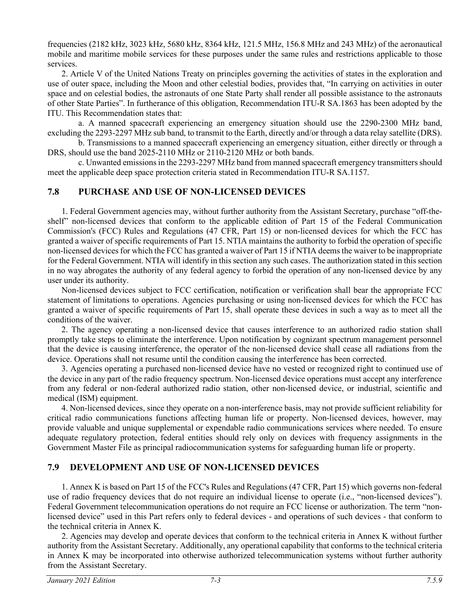frequencies (2182 kHz, 3023 kHz, 5680 kHz, 8364 kHz, 121.5 MHz, 156.8 MHz and 243 MHz) of the aeronautical mobile and maritime mobile services for these purposes under the same rules and restrictions applicable to those services.

2. Article V of the United Nations Treaty on principles governing the activities of states in the exploration and use of outer space, including the Moon and other celestial bodies, provides that, "In carrying on activities in outer space and on celestial bodies, the astronauts of one State Party shall render all possible assistance to the astronauts of other State Parties". In furtherance of this obligation, Recommendation ITU-R SA.1863 has been adopted by the ITU. This Recommendation states that:

a. A manned spacecraft experiencing an emergency situation should use the 2290-2300 MHz band, excluding the 2293-2297 MHz sub band, to transmit to the Earth, directly and/or through a data relay satellite (DRS).

b. Transmissions to a manned spacecraft experiencing an emergency situation, either directly or through a DRS, should use the band 2025-2110 MHz or 2110-2120 MHz or both bands.

c. Unwanted emissions in the 2293-2297 MHz band from manned spacecraft emergency transmitters should meet the applicable deep space protection criteria stated in Recommendation ITU-R SA.1157.

#### **7.8 PURCHASE AND USE OF NON-LICENSED DEVICES**

1. Federal Government agencies may, without further authority from the Assistant Secretary, purchase "off-theshelf" non-licensed devices that conform to the applicable edition of Part 15 of the Federal Communication Commission's (FCC) Rules and Regulations (47 CFR, Part 15) or non-licensed devices for which the FCC has granted a waiver of specific requirements of Part 15. NTIA maintains the authority to forbid the operation of specific non-licensed devices for which the FCC has granted a waiver of Part 15 if NTIA deems the waiver to be inappropriate for the Federal Government. NTIA will identify in this section any such cases. The authorization stated in this section in no way abrogates the authority of any federal agency to forbid the operation of any non-licensed device by any user under its authority.

Non-licensed devices subject to FCC certification, notification or verification shall bear the appropriate FCC statement of limitations to operations. Agencies purchasing or using non-licensed devices for which the FCC has granted a waiver of specific requirements of Part 15, shall operate these devices in such a way as to meet all the conditions of the waiver.

2. The agency operating a non-licensed device that causes interference to an authorized radio station shall promptly take steps to eliminate the interference. Upon notification by cognizant spectrum management personnel that the device is causing interference, the operator of the non-licensed device shall cease all radiations from the device. Operations shall not resume until the condition causing the interference has been corrected.

3. Agencies operating a purchased non-licensed device have no vested or recognized right to continued use of the device in any part of the radio frequency spectrum. Non-licensed device operations must accept any interference from any federal or non-federal authorized radio station, other non-licensed device, or industrial, scientific and medical (ISM) equipment.

4. Non-licensed devices, since they operate on a non-interference basis, may not provide sufficient reliability for critical radio communications functions affecting human life or property. Non-licensed devices, however, may provide valuable and unique supplemental or expendable radio communications services where needed. To ensure adequate regulatory protection, federal entities should rely only on devices with frequency assignments in the Government Master File as principal radiocommunication systems for safeguarding human life or property.

# **7.9 DEVELOPMENT AND USE OF NON-LICENSED DEVICES**

1. Annex K is based on Part 15 of the FCC's Rules and Regulations (47 CFR, Part 15) which governs non-federal use of radio frequency devices that do not require an individual license to operate (i.e., "non-licensed devices"). Federal Government telecommunication operations do not require an FCC license or authorization. The term "nonlicensed device" used in this Part refers only to federal devices - and operations of such devices - that conform to the technical criteria in Annex K.

2. Agencies may develop and operate devices that conform to the technical criteria in Annex K without further authority from the Assistant Secretary. Additionally, any operational capability that conforms to the technical criteria in Annex K may be incorporated into otherwise authorized telecommunication systems without further authority from the Assistant Secretary.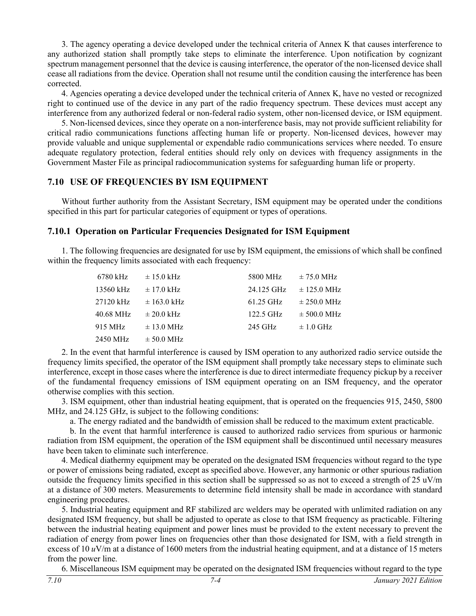3. The agency operating a device developed under the technical criteria of Annex K that causes interference to any authorized station shall promptly take steps to eliminate the interference. Upon notification by cognizant spectrum management personnel that the device is causing interference, the operator of the non-licensed device shall cease all radiations from the device. Operation shall not resume until the condition causing the interference has been corrected.

4. Agencies operating a device developed under the technical criteria of Annex K, have no vested or recognized right to continued use of the device in any part of the radio frequency spectrum. These devices must accept any interference from any authorized federal or non-federal radio system, other non-licensed device, or ISM equipment.

5. Non-licensed devices, since they operate on a non-interference basis, may not provide sufficient reliability for critical radio communications functions affecting human life or property. Non-licensed devices, however may provide valuable and unique supplemental or expendable radio communications services where needed. To ensure adequate regulatory protection, federal entities should rely only on devices with frequency assignments in the Government Master File as principal radiocommunication systems for safeguarding human life or property.

#### **7.10 USE OF FREQUENCIES BY ISM EQUIPMENT**

Without further authority from the Assistant Secretary, ISM equipment may be operated under the conditions specified in this part for particular categories of equipment or types of operations.

#### **7.10.1 Operation on Particular Frequencies Designated for ISM Equipment**

1. The following frequencies are designated for use by ISM equipment, the emissions of which shall be confined within the frequency limits associated with each frequency:

| 6780 kHz  | $\pm$ 15.0 kHz  | 5800 MHz    | $\pm$ 75.0 MHz  |
|-----------|-----------------|-------------|-----------------|
| 13560 kHz | $\pm$ 17.0 kHz  | 24.125 GHz  | $\pm$ 125.0 MHz |
| 27120 kHz | $\pm 163.0$ kHz | $61.25$ GHz | $\pm$ 250.0 MHz |
| 40.68 MHz | $\pm 20.0$ kHz  | $122.5$ GHz | $\pm$ 500.0 MHz |
| 915 MHz   | $\pm$ 13.0 MHz  | 245 GHz     | $\pm 1.0$ GHz   |
| 2450 MHz  | $\pm$ 50.0 MHz  |             |                 |

2. In the event that harmful interference is caused by ISM operation to any authorized radio service outside the frequency limits specified, the operator of the ISM equipment shall promptly take necessary steps to eliminate such interference, except in those cases where the interference is due to direct intermediate frequency pickup by a receiver of the fundamental frequency emissions of ISM equipment operating on an ISM frequency, and the operator otherwise complies with this section.

3. ISM equipment, other than industrial heating equipment, that is operated on the frequencies 915, 2450, 5800 MHz, and 24.125 GHz, is subject to the following conditions:

a. The energy radiated and the bandwidth of emission shall be reduced to the maximum extent practicable.

b. In the event that harmful interference is caused to authorized radio services from spurious or harmonic radiation from ISM equipment, the operation of the ISM equipment shall be discontinued until necessary measures have been taken to eliminate such interference.

4. Medical diathermy equipment may be operated on the designated ISM frequencies without regard to the type or power of emissions being radiated, except as specified above. However, any harmonic or other spurious radiation outside the frequency limits specified in this section shall be suppressed so as not to exceed a strength of 25 uV/m at a distance of 300 meters. Measurements to determine field intensity shall be made in accordance with standard engineering procedures.

5. Industrial heating equipment and RF stabilized arc welders may be operated with unlimited radiation on any designated ISM frequency, but shall be adjusted to operate as close to that ISM frequency as practicable. Filtering between the industrial heating equipment and power lines must be provided to the extent necessary to prevent the radiation of energy from power lines on frequencies other than those designated for ISM, with a field strength in excess of 10 *uV*/m at a distance of 1600 meters from the industrial heating equipment, and at a distance of 15 meters from the power line.

6. Miscellaneous ISM equipment may be operated on the designated ISM frequencies without regard to the type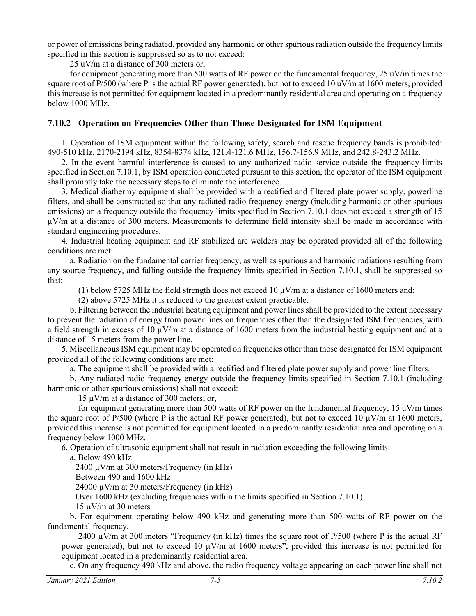or power of emissions being radiated, provided any harmonic or other spurious radiation outside the frequency limits specified in this section is suppressed so as to not exceed:

25 uV/m at a distance of 300 meters or,

for equipment generating more than 500 watts of RF power on the fundamental frequency, 25 uV/m times the square root of  $P/500$  (where P is the actual RF power generated), but not to exceed 10 uV/m at 1600 meters, provided this increase is not permitted for equipment located in a predominantly residential area and operating on a frequency below 1000 MHz.

#### **7.10.2 Operation on Frequencies Other than Those Designated for ISM Equipment**

1. Operation of ISM equipment within the following safety, search and rescue frequency bands is prohibited: 490-510 kHz, 2170-2194 kHz, 8354-8374 kHz, 121.4-121.6 MHz, 156.7-156.9 MHz, and 242.8-243.2 MHz.

2. In the event harmful interference is caused to any authorized radio service outside the frequency limits specified in Section 7.10.1, by ISM operation conducted pursuant to this section, the operator of the ISM equipment shall promptly take the necessary steps to eliminate the interference.

3. Medical diathermy equipment shall be provided with a rectified and filtered plate power supply, powerline filters, and shall be constructed so that any radiated radio frequency energy (including harmonic or other spurious emissions) on a frequency outside the frequency limits specified in Section 7.10.1 does not exceed a strength of 15 µV/m at a distance of 300 meters. Measurements to determine field intensity shall be made in accordance with standard engineering procedures.

4. Industrial heating equipment and RF stabilized arc welders may be operated provided all of the following conditions are met:

a. Radiation on the fundamental carrier frequency, as well as spurious and harmonic radiations resulting from any source frequency, and falling outside the frequency limits specified in Section 7.10.1, shall be suppressed so that:

(1) below 5725 MHz the field strength does not exceed 10  $\mu$ V/m at a distance of 1600 meters and;

(2) above 5725 MHz it is reduced to the greatest extent practicable.

b. Filtering between the industrial heating equipment and power lines shall be provided to the extent necessary to prevent the radiation of energy from power lines on frequencies other than the designated ISM frequencies, with a field strength in excess of 10  $\mu$ V/m at a distance of 1600 meters from the industrial heating equipment and at a distance of 15 meters from the power line.

5. Miscellaneous ISM equipment may be operated on frequencies other than those designated for ISM equipment provided all of the following conditions are met:

a. The equipment shall be provided with a rectified and filtered plate power supply and power line filters.

b. Any radiated radio frequency energy outside the frequency limits specified in Section 7.10.1 (including harmonic or other spurious emissions) shall not exceed:

15  $\mu$ V/m at a distance of 300 meters; or,

for equipment generating more than 500 watts of RF power on the fundamental frequency, 15 uV/m times the square root of P/500 (where P is the actual RF power generated), but not to exceed 10  $\mu$ V/m at 1600 meters, provided this increase is not permitted for equipment located in a predominantly residential area and operating on a frequency below 1000 MHz.

6. Operation of ultrasonic equipment shall not result in radiation exceeding the following limits:

a. Below 490 kHz

 $2400 \mu V/m$  at 300 meters/Frequency (in kHz)

Between 490 and 1600 kHz

24000 µV/m at 30 meters/Frequency (in kHz)

Over 1600 kHz (excluding frequencies within the limits specified in Section 7.10.1)

15 µV/m at 30 meters

b. For equipment operating below 490 kHz and generating more than 500 watts of RF power on the fundamental frequency.

2400  $\mu$ V/m at 300 meters "Frequency (in kHz) times the square root of P/500 (where P is the actual RF power generated), but not to exceed 10  $\mu$ V/m at 1600 meters", provided this increase is not permitted for equipment located in a predominantly residential area.

c. On any frequency 490 kHz and above, the radio frequency voltage appearing on each power line shall not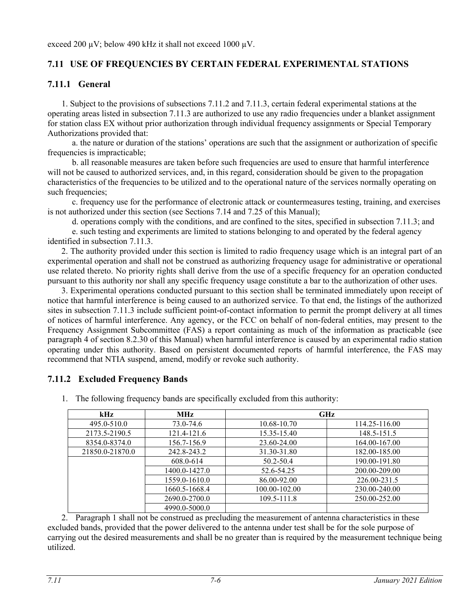# **7.11 USE OF FREQUENCIES BY CERTAIN FEDERAL EXPERIMENTAL STATIONS**

# **7.11.1 General**

1. Subject to the provisions of subsections 7.11.2 and 7.11.3, certain federal experimental stations at the operating areas listed in subsection 7.11.3 are authorized to use any radio frequencies under a blanket assignment for station class EX without prior authorization through individual frequency assignments or Special Temporary Authorizations provided that:

a. the nature or duration of the stations' operations are such that the assignment or authorization of specific frequencies is impracticable;

b. all reasonable measures are taken before such frequencies are used to ensure that harmful interference will not be caused to authorized services, and, in this regard, consideration should be given to the propagation characteristics of the frequencies to be utilized and to the operational nature of the services normally operating on such frequencies;

c. frequency use for the performance of electronic attack or countermeasures testing, training, and exercises is not authorized under this section (see Sections 7.14 and 7.25 of this Manual);

d. operations comply with the conditions, and are confined to the sites, specified in subsection 7.11.3; and

e. such testing and experiments are limited to stations belonging to and operated by the federal agency identified in subsection 7.11.3.

2. The authority provided under this section is limited to radio frequency usage which is an integral part of an experimental operation and shall not be construed as authorizing frequency usage for administrative or operational use related thereto. No priority rights shall derive from the use of a specific frequency for an operation conducted pursuant to this authority nor shall any specific frequency usage constitute a bar to the authorization of other uses.

3. Experimental operations conducted pursuant to this section shall be terminated immediately upon receipt of notice that harmful interference is being caused to an authorized service. To that end, the listings of the authorized sites in subsection 7.11.3 include sufficient point-of-contact information to permit the prompt delivery at all times of notices of harmful interference. Any agency, or the FCC on behalf of non-federal entities, may present to the Frequency Assignment Subcommittee (FAS) a report containing as much of the information as practicable (see paragraph 4 of section 8.2.30 of this Manual) when harmful interference is caused by an experimental radio station operating under this authority. Based on persistent documented reports of harmful interference, the FAS may recommend that NTIA suspend, amend, modify or revoke such authority.

# **7.11.2 Excluded Frequency Bands**

| kHz             | <b>MHz</b>    |               | <b>GHz</b>    |
|-----------------|---------------|---------------|---------------|
| 495.0-510.0     | 73.0-74.6     | 10.68-10.70   | 114.25-116.00 |
| 2173.5-2190.5   | 121.4-121.6   | 15.35-15.40   | 148.5-151.5   |
| 8354.0-8374.0   | 156.7-156.9   | 23.60-24.00   | 164.00-167.00 |
| 21850.0-21870.0 | 242.8-243.2   | 31.30-31.80   | 182.00-185.00 |
|                 | 608.0-614     | 50.2-50.4     | 190.00-191.80 |
|                 | 1400.0-1427.0 | 52.6-54.25    | 200.00-209.00 |
|                 | 1559.0-1610.0 | 86.00-92.00   | 226.00-231.5  |
|                 | 1660.5-1668.4 | 100.00-102.00 | 230.00-240.00 |
|                 | 2690.0-2700.0 | 109.5-111.8   | 250.00-252.00 |
|                 | 4990.0-5000.0 |               |               |

1. The following frequency bands are specifically excluded from this authority:

2. Paragraph 1 shall not be construed as precluding the measurement of antenna characteristics in these excluded bands, provided that the power delivered to the antenna under test shall be for the sole purpose of carrying out the desired measurements and shall be no greater than is required by the measurement technique being utilized.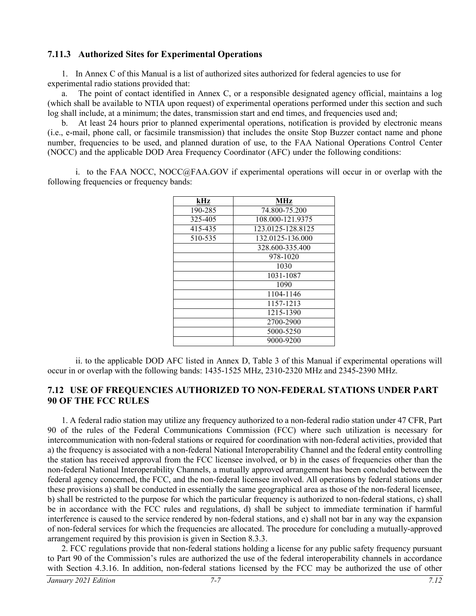# **7.11.3 Authorized Sites for Experimental Operations**

1. In Annex C of this Manual is a list of authorized sites authorized for federal agencies to use for experimental radio stations provided that:

a. The point of contact identified in Annex C, or a responsible designated agency official, maintains a log (which shall be available to NTIA upon request) of experimental operations performed under this section and such log shall include, at a minimum; the dates, transmission start and end times, and frequencies used and;

b. At least 24 hours prior to planned experimental operations, notification is provided by electronic means (i.e., e-mail, phone call, or facsimile transmission) that includes the onsite Stop Buzzer contact name and phone number, frequencies to be used, and planned duration of use, to the FAA National Operations Control Center (NOCC) and the applicable DOD Area Frequency Coordinator (AFC) under the following conditions:

i. to the FAA NOCC, NOCC@FAA.GOV if experimental operations will occur in or overlap with the following frequencies or frequency bands:

| kHz     | MHz               |
|---------|-------------------|
| 190-285 | 74.800-75.200     |
| 325-405 | 108.000-121.9375  |
| 415-435 | 123.0125-128.8125 |
| 510-535 | 132.0125-136.000  |
|         | 328.600-335.400   |
|         | 978-1020          |
|         | 1030              |
|         | 1031-1087         |
|         | 1090              |
|         | 1104-1146         |
|         | 1157-1213         |
|         | 1215-1390         |
|         | 2700-2900         |
|         | 5000-5250         |
|         | 9000-9200         |

ii. to the applicable DOD AFC listed in Annex D, Table 3 of this Manual if experimental operations will occur in or overlap with the following bands: 1435-1525 MHz, 2310-2320 MHz and 2345-2390 MHz.

#### **7.12 USE OF FREQUENCIES AUTHORIZED TO NON-FEDERAL STATIONS UNDER PART 90 OF THE FCC RULES**

1. A federal radio station may utilize any frequency authorized to a non-federal radio station under 47 CFR, Part 90 of the rules of the Federal Communications Commission (FCC) where such utilization is necessary for intercommunication with non-federal stations or required for coordination with non-federal activities, provided that a) the frequency is associated with a non-federal National Interoperability Channel and the federal entity controlling the station has received approval from the FCC licensee involved, or b) in the cases of frequencies other than the non-federal National Interoperability Channels, a mutually approved arrangement has been concluded between the federal agency concerned, the FCC, and the non-federal licensee involved. All operations by federal stations under these provisions a) shall be conducted in essentially the same geographical area as those of the non-federal licensee, b) shall be restricted to the purpose for which the particular frequency is authorized to non-federal stations, c) shall be in accordance with the FCC rules and regulations, d) shall be subject to immediate termination if harmful interference is caused to the service rendered by non-federal stations, and e) shall not bar in any way the expansion of non-federal services for which the frequencies are allocated. The procedure for concluding a mutually-approved arrangement required by this provision is given in Section 8.3.3.

2. FCC regulations provide that non-federal stations holding a license for any public safety frequency pursuant to Part 90 of the Commission's rules are authorized the use of the federal interoperability channels in accordance with Section 4.3.16. In addition, non-federal stations licensed by the FCC may be authorized the use of other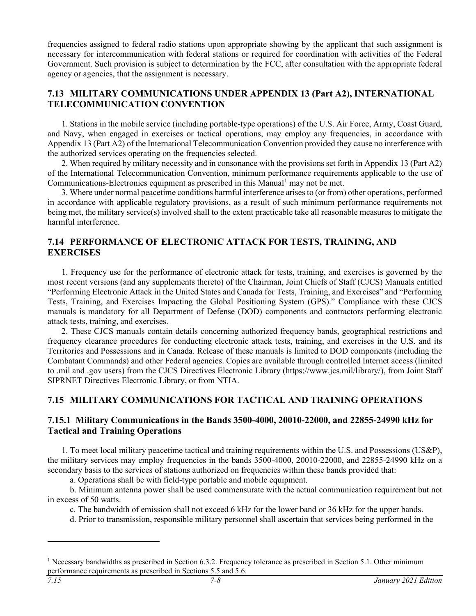frequencies assigned to federal radio stations upon appropriate showing by the applicant that such assignment is necessary for intercommunication with federal stations or required for coordination with activities of the Federal Government. Such provision is subject to determination by the FCC, after consultation with the appropriate federal agency or agencies, that the assignment is necessary.

# **7.13 MILITARY COMMUNICATIONS UNDER APPENDIX 13 (Part A2), INTERNATIONAL TELECOMMUNICATION CONVENTION**

1. Stations in the mobile service (including portable-type operations) of the U.S. Air Force, Army, Coast Guard, and Navy, when engaged in exercises or tactical operations, may employ any frequencies, in accordance with Appendix 13 (Part A2) of the International Telecommunication Convention provided they cause no interference with the authorized services operating on the frequencies selected.

2. When required by military necessity and in consonance with the provisions set forth in Appendix 13 (Part A2) of the International Telecommunication Convention, minimum performance requirements applicable to the use of Communications-Electronics equipment as prescribed in this Manual<sup>[1](#page-7-0)</sup> may not be met.

3. Where under normal peacetime conditions harmful interference arises to (or from) other operations, performed in accordance with applicable regulatory provisions, as a result of such minimum performance requirements not being met, the military service(s) involved shall to the extent practicable take all reasonable measures to mitigate the harmful interference.

# **7.14 PERFORMANCE OF ELECTRONIC ATTACK FOR TESTS, TRAINING, AND EXERCISES**

1. Frequency use for the performance of electronic attack for tests, training, and exercises is governed by the most recent versions (and any supplements thereto) of the Chairman, Joint Chiefs of Staff (CJCS) Manuals entitled "Performing Electronic Attack in the United States and Canada for Tests, Training, and Exercises" and "Performing Tests, Training, and Exercises Impacting the Global Positioning System (GPS)." Compliance with these CJCS manuals is mandatory for all Department of Defense (DOD) components and contractors performing electronic attack tests, training, and exercises.

2. These CJCS manuals contain details concerning authorized frequency bands, geographical restrictions and frequency clearance procedures for conducting electronic attack tests, training, and exercises in the U.S. and its Territories and Possessions and in Canada. Release of these manuals is limited to DOD components (including the Combatant Commands) and other Federal agencies. Copies are available through controlled Internet access (limited to .mil and .gov users) from the CJCS Directives Electronic Library (https://www.jcs.mil/library/), from Joint Staff SIPRNET Directives Electronic Library, or from NTIA.

# **7.15 MILITARY COMMUNICATIONS FOR TACTICAL AND TRAINING OPERATIONS**

# **7.15.1 Military Communications in the Bands 3500-4000, 20010-22000, and 22855-24990 kHz for Tactical and Training Operations**

1. To meet local military peacetime tactical and training requirements within the U.S. and Possessions (US&P), the military services may employ frequencies in the bands 3500-4000, 20010-22000, and 22855-24990 kHz on a secondary basis to the services of stations authorized on frequencies within these bands provided that:

a. Operations shall be with field-type portable and mobile equipment.

b. Minimum antenna power shall be used commensurate with the actual communication requirement but not in excess of 50 watts.

c. The bandwidth of emission shall not exceed 6 kHz for the lower band or 36 kHz for the upper bands.

d. Prior to transmission, responsible military personnel shall ascertain that services being performed in the

<span id="page-7-0"></span><sup>&</sup>lt;sup>1</sup> Necessary bandwidths as prescribed in Section 6.3.2. Frequency tolerance as prescribed in Section 5.1. Other minimum performance requirements as prescribed in Sections 5.5 and 5.6.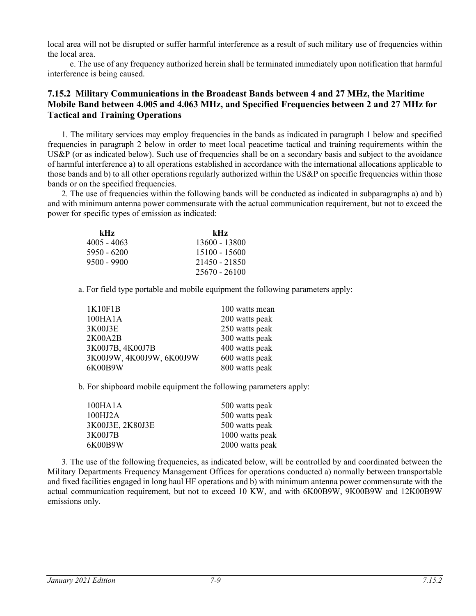local area will not be disrupted or suffer harmful interference as a result of such military use of frequencies within the local area.

e. The use of any frequency authorized herein shall be terminated immediately upon notification that harmful interference is being caused.

#### **7.15.2 Military Communications in the Broadcast Bands between 4 and 27 MHz, the Maritime Mobile Band between 4.005 and 4.063 MHz, and Specified Frequencies between 2 and 27 MHz for Tactical and Training Operations**

1. The military services may employ frequencies in the bands as indicated in paragraph 1 below and specified frequencies in paragraph 2 below in order to meet local peacetime tactical and training requirements within the US&P (or as indicated below). Such use of frequencies shall be on a secondary basis and subject to the avoidance of harmful interference a) to all operations established in accordance with the international allocations applicable to those bands and b) to all other operations regularly authorized within the US&P on specific frequencies within those bands or on the specified frequencies.

2. The use of frequencies within the following bands will be conducted as indicated in subparagraphs a) and b) and with minimum antenna power commensurate with the actual communication requirement, but not to exceed the power for specific types of emission as indicated:

| kHz.          | kHz           |
|---------------|---------------|
| $4005 - 4063$ | 13600 - 13800 |
| $5950 - 6200$ | 15100 - 15600 |
| $9500 - 9900$ | 21450 - 21850 |
|               | 25670 - 26100 |

a. For field type portable and mobile equipment the following parameters apply:

| 1K10F1B                   | 100 watts mean |
|---------------------------|----------------|
| 100HA1A                   | 200 watts peak |
| 3K00J3E                   | 250 watts peak |
| 2K00A2B                   | 300 watts peak |
| 3K00J7B, 4K00J7B          | 400 watts peak |
| 3K00J9W, 4K00J9W, 6K00J9W | 600 watts peak |
| 6K00B9W                   | 800 watts peak |

b. For shipboard mobile equipment the following parameters apply:

| 100 <sub>H</sub> A <sub>1</sub> A | 500 watts peak  |
|-----------------------------------|-----------------|
| 100HJ2A                           | 500 watts peak  |
| 3K00J3E, 2K80J3E                  | 500 watts peak  |
| 3K00J7B                           | 1000 watts peak |
| 6K00B9W                           | 2000 watts peak |

3. The use of the following frequencies, as indicated below, will be controlled by and coordinated between the Military Departments Frequency Management Offices for operations conducted a) normally between transportable and fixed facilities engaged in long haul HF operations and b) with minimum antenna power commensurate with the actual communication requirement, but not to exceed 10 KW, and with 6K00B9W, 9K00B9W and 12K00B9W emissions only.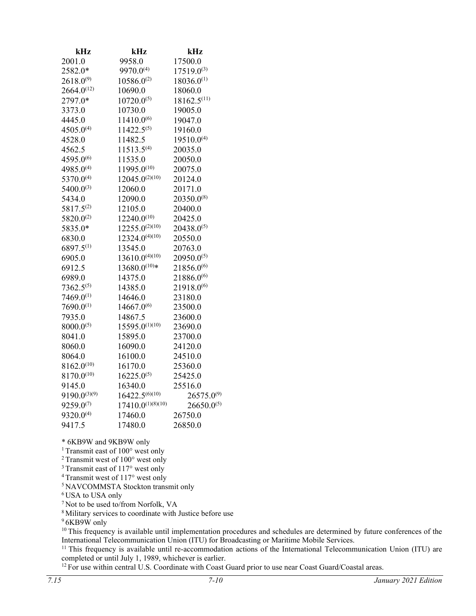| kHz                   | kHz                    | kHz                    |
|-----------------------|------------------------|------------------------|
| 2001.0                | 9958.0                 | 17500.0                |
| 2582.0*               | 9970.0(4)              | $17519.0^{(3)}$        |
| $2618.0^{(9)}$        | $10586.0^{(2)}$        | $18036.0^{(1)}$        |
| $2664.0^{(12)}$       | 10690.0                | 18060.0                |
| 2797.0*               | $10720.0^{(5)}$        | $18162.5^{(11)}$       |
| 3373.0                | 10730.0                | 19005.0                |
| 4445.0                | $11410.0^{(6)}$        | 19047.0                |
| $4505.0^{(4)}$        | $11422.5^{(5)}$        | 19160.0                |
| 4528.0                | 11482.5                | $19510.0^{(4)}$        |
| 4562.5                | $11513.5^{(4)}$        | 20035.0                |
| 4595.0 <sup>(6)</sup> | 11535.0                | 20050.0                |
| $4985.0^{(4)}$        | $11995.0^{(10)}$       | 20075.0                |
| $5370.0^{(4)}$        | $12045.0^{(2)(10)}$    | 20124.0                |
| $5400.0^{(3)}$        | 12060.0                | 20171.0                |
| 5434.0                | 12090.0                | 20350.0(8)             |
| 5817.5 <sup>(2)</sup> | 12105.0                | 20400.0                |
| $5820.0^{(2)}$        | $12240.0^{(10)}$       | 20425.0                |
| 5835.0*               | $12255.0^{(2)(10)}$    | $20438.0^{(5)}$        |
| 6830.0                | $12324.0^{(4)(10)}$    | 20550.0                |
| $6897.5^{(1)}$        | 13545.0                | 20763.0                |
| 6905.0                | $13610.0^{(4)(10)}$    | $20950.0^{(5)}$        |
| 6912.5                | $13680.0^{(10)*}$      | 21856.0 <sup>(6)</sup> |
| 6989.0                | 14375.0                | $21886.0^{(6)}$        |
| $7362.5^{(5)}$        | 14385.0                | $21918.0^{(6)}$        |
| $7469.0^{(1)}$        | 14646.0                | 23180.0                |
| $7690.0^{(1)}$        | $14667.0^{(6)}$        | 23500.0                |
| 7935.0                | 14867.5                | 23600.0                |
| $8000.0^{(5)}$        | $15595.0^{(1)(10)}$    | 23690.0                |
| 8041.0                | 15895.0                | 23700.0                |
| 8060.0                | 16090.0                | 24120.0                |
| 8064.0                | 16100.0                | 24510.0                |
| $8162.0^{(10)}$       | 16170.0                | 25360.0                |
| $8170.0^{(10)}$       | $16225.0^{(5)}$        | 25425.0                |
| 9145.0                | 16340.0                | 25516.0                |
| $9190.0^{(3)(9)}$     | $16422.5^{(6)(10)}$    | $26575.0^{(9)}$        |
| $9259.0^{(7)}$        | $17410.0^{(1)(8)(10)}$ | $26650.0^{(5)}$        |
| $9320.0^{(4)}$        | 17460.0                | 26750.0                |
| 9417.5                | 17480.0                | 26850.0                |
|                       |                        |                        |

\* 6KB9W and 9KB9W only

<sup>1</sup> Transmit east of 100° west only

<sup>2</sup> Transmit west of 100° west only

<sup>3</sup> Transmit east of 117° west only

<sup>4</sup> Transmit west of 117° west only

<sup>5</sup> NAVCOMMSTA Stockton transmit only

<sup>6</sup> USA to USA only

<sup>7</sup> Not to be used to/from Norfolk, VA

<sup>8</sup> Military services to coordinate with Justice before use

<sup>9</sup> 6KB9W only

 $10$  This frequency is available until implementation procedures and schedules are determined by future conferences of the International Telecommunication Union (ITU) for Broadcasting or Maritime Mobile Services.

<sup>11</sup> This frequency is available until re-accommodation actions of the International Telecommunication Union (ITU) are completed or until July 1, 1989, whichever is earlier.

<sup>12</sup> For use within central U.S. Coordinate with Coast Guard prior to use near Coast Guard/Coastal areas.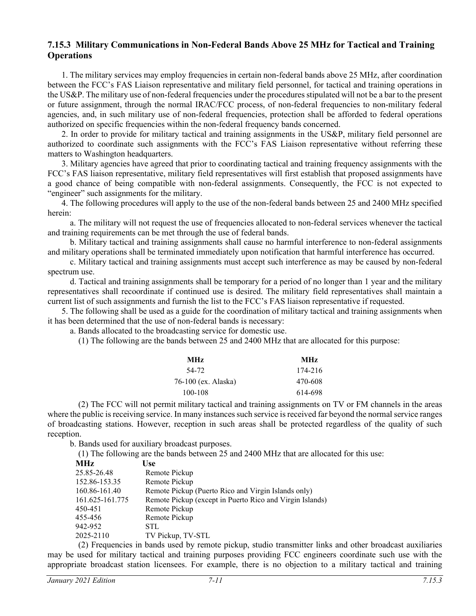#### **7.15.3 Military Communications in Non-Federal Bands Above 25 MHz for Tactical and Training Operations**

1. The military services may employ frequencies in certain non-federal bands above 25 MHz, after coordination between the FCC's FAS Liaison representative and military field personnel, for tactical and training operations in the US&P. The military use of non-federal frequencies under the procedures stipulated will not be a bar to the present or future assignment, through the normal IRAC/FCC process, of non-federal frequencies to non-military federal agencies, and, in such military use of non-federal frequencies, protection shall be afforded to federal operations authorized on specific frequencies within the non-federal frequency bands concerned.

2. In order to provide for military tactical and training assignments in the US&P, military field personnel are authorized to coordinate such assignments with the FCC's FAS Liaison representative without referring these matters to Washington headquarters.

3. Military agencies have agreed that prior to coordinating tactical and training frequency assignments with the FCC's FAS liaison representative, military field representatives will first establish that proposed assignments have a good chance of being compatible with non-federal assignments. Consequently, the FCC is not expected to "engineer" such assignments for the military.

4. The following procedures will apply to the use of the non-federal bands between 25 and 2400 MHz specified herein:

a. The military will not request the use of frequencies allocated to non-federal services whenever the tactical and training requirements can be met through the use of federal bands.

b. Military tactical and training assignments shall cause no harmful interference to non-federal assignments and military operations shall be terminated immediately upon notification that harmful interference has occurred.

c. Military tactical and training assignments must accept such interference as may be caused by non-federal spectrum use.

d. Tactical and training assignments shall be temporary for a period of no longer than 1 year and the military representatives shall recoordinate if continued use is desired. The military field representatives shall maintain a current list of such assignments and furnish the list to the FCC's FAS liaison representative if requested.

5. The following shall be used as a guide for the coordination of military tactical and training assignments when it has been determined that the use of non-federal bands is necessary:

a. Bands allocated to the broadcasting service for domestic use.

(1) The following are the bands between 25 and 2400 MHz that are allocated for this purpose:

| MHz                 | <b>MHz</b> |
|---------------------|------------|
| 54-72               | 174-216    |
| 76-100 (ex. Alaska) | 470-608    |
| 100-108             | 614-698    |

(2) The FCC will not permit military tactical and training assignments on TV or FM channels in the areas where the public is receiving service. In many instances such service is received far beyond the normal service ranges of broadcasting stations. However, reception in such areas shall be protected regardless of the quality of such reception.

b. Bands used for auxiliary broadcast purposes.

(1) The following are the bands between 25 and 2400 MHz that are allocated for this use:

| MHz             | Use                                                      |
|-----------------|----------------------------------------------------------|
| 25.85-26.48     | Remote Pickup                                            |
| 152.86-153.35   | Remote Pickup                                            |
| 160.86-161.40   | Remote Pickup (Puerto Rico and Virgin Islands only)      |
| 161.625-161.775 | Remote Pickup (except in Puerto Rico and Virgin Islands) |
| 450-451         | Remote Pickup                                            |
| 455-456         | Remote Pickup                                            |
| 942-952         | <b>STL</b>                                               |
| 2025-2110       | TV Pickup, TV-STL                                        |
|                 |                                                          |

(2) Frequencies in bands used by remote pickup, studio transmitter links and other broadcast auxiliaries may be used for military tactical and training purposes providing FCC engineers coordinate such use with the appropriate broadcast station licensees. For example, there is no objection to a military tactical and training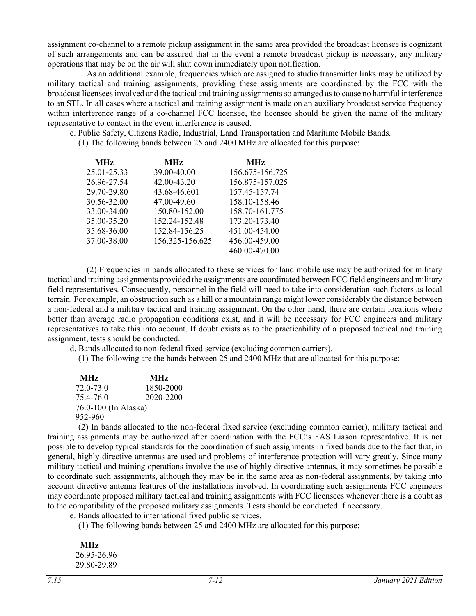assignment co-channel to a remote pickup assignment in the same area provided the broadcast licensee is cognizant of such arrangements and can be assured that in the event a remote broadcast pickup is necessary, any military operations that may be on the air will shut down immediately upon notification.

As an additional example, frequencies which are assigned to studio transmitter links may be utilized by military tactical and training assignments, providing these assignments are coordinated by the FCC with the broadcast licensees involved and the tactical and training assignments so arranged as to cause no harmful interference to an STL. In all cases where a tactical and training assignment is made on an auxiliary broadcast service frequency within interference range of a co-channel FCC licensee, the licensee should be given the name of the military representative to contact in the event interference is caused.

c. Public Safety, Citizens Radio, Industrial, Land Transportation and Maritime Mobile Bands.

(1) The following bands between 25 and 2400 MHz are allocated for this purpose:

| <b>MHz</b>      | <b>MHz</b>      |
|-----------------|-----------------|
| 39.00-40.00     | 156.675-156.725 |
| 42.00-43.20     | 156.875-157.025 |
| 43.68-46.601    | 157.45-157.74   |
| 47.00-49.60     | 158.10-158.46   |
| 150.80-152.00   | 158.70-161.775  |
| 152.24-152.48   | 173.20-173.40   |
| 152.84-156.25   | 451.00-454.00   |
| 156.325-156.625 | 456.00-459.00   |
|                 | 460.00-470.00   |
|                 |                 |

(2) Frequencies in bands allocated to these services for land mobile use may be authorized for military tactical and training assignments provided the assignments are coordinated between FCC field engineers and military field representatives. Consequently, personnel in the field will need to take into consideration such factors as local terrain. For example, an obstruction such as a hill or a mountain range might lower considerably the distance between a non-federal and a military tactical and training assignment. On the other hand, there are certain locations where better than average radio propagation conditions exist, and it will be necessary for FCC engineers and military representatives to take this into account. If doubt exists as to the practicability of a proposed tactical and training assignment, tests should be conducted.

d. Bands allocated to non-federal fixed service (excluding common carriers).

(1) The following are the bands between 25 and 2400 MHz that are allocated for this purpose:

| <b>MHz</b>           | <b>MHz</b> |
|----------------------|------------|
| 72.0-73.0            | 1850-2000  |
| 75.4-76.0            | 2020-2200  |
| 76.0-100 (In Alaska) |            |
| 952-960              |            |

(2) In bands allocated to the non-federal fixed service (excluding common carrier), military tactical and training assignments may be authorized after coordination with the FCC's FAS Liason representative. It is not possible to develop typical standards for the coordination of such assignments in fixed bands due to the fact that, in general, highly directive antennas are used and problems of interference protection will vary greatly. Since many military tactical and training operations involve the use of highly directive antennas, it may sometimes be possible to coordinate such assignments, although they may be in the same area as non-federal assignments, by taking into account directive antenna features of the installations involved. In coordinating such assignments FCC engineers may coordinate proposed military tactical and training assignments with FCC licensees whenever there is a doubt as to the compatibility of the proposed military assignments. Tests should be conducted if necessary.

e. Bands allocated to international fixed public services.

(1) The following bands between 25 and 2400 MHz are allocated for this purpose:

#### **MHz** 26.95-26.96 29.80-29.89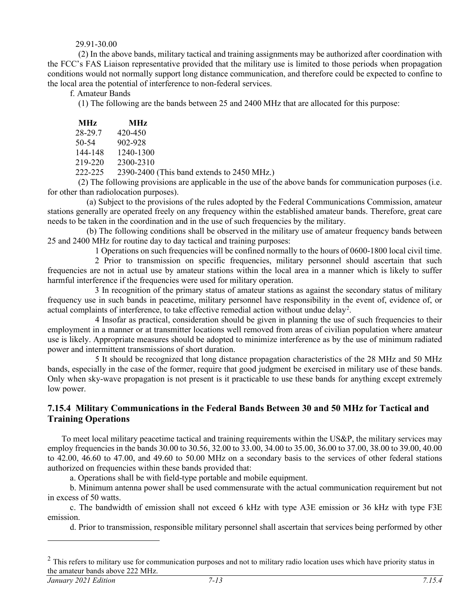#### 29.91-30.00

(2) In the above bands, military tactical and training assignments may be authorized after coordination with the FCC's FAS Liaison representative provided that the military use is limited to those periods when propagation conditions would not normally support long distance communication, and therefore could be expected to confine to the local area the potential of interference to non-federal services.

f. Amateur Bands

(1) The following are the bands between 25 and 2400 MHz that are allocated for this purpose:

| <b>MHz</b> | <b>MHz</b>                                 |
|------------|--------------------------------------------|
| 28-29.7    | 420-450                                    |
| 50-54      | 902-928                                    |
| 144-148    | 1240-1300                                  |
| 219-220    | 2300-2310                                  |
| 222-225    | 2390-2400 (This band extends to 2450 MHz.) |

(2) The following provisions are applicable in the use of the above bands for communication purposes (i.e. for other than radiolocation purposes).

(a) Subject to the provisions of the rules adopted by the Federal Communications Commission, amateur stations generally are operated freely on any frequency within the established amateur bands. Therefore, great care needs to be taken in the coordination and in the use of such frequencies by the military.

(b) The following conditions shall be observed in the military use of amateur frequency bands between 25 and 2400 MHz for routine day to day tactical and training purposes:

1 Operations on such frequencies will be confined normally to the hours of 0600-1800 local civil time.

2 Prior to transmission on specific frequencies, military personnel should ascertain that such frequencies are not in actual use by amateur stations within the local area in a manner which is likely to suffer harmful interference if the frequencies were used for military operation.

3 In recognition of the primary status of amateur stations as against the secondary status of military frequency use in such bands in peacetime, military personnel have responsibility in the event of, evidence of, or actual complaints of interference, to take effective remedial action without undue delay<sup>[2](#page-12-0)</sup>.

4 Insofar as practical, consideration should be given in planning the use of such frequencies to their employment in a manner or at transmitter locations well removed from areas of civilian population where amateur use is likely. Appropriate measures should be adopted to minimize interference as by the use of minimum radiated power and intermittent transmissions of short duration.

5 It should be recognized that long distance propagation characteristics of the 28 MHz and 50 MHz bands, especially in the case of the former, require that good judgment be exercised in military use of these bands. Only when sky-wave propagation is not present is it practicable to use these bands for anything except extremely low power.

# **7.15.4 Military Communications in the Federal Bands Between 30 and 50 MHz for Tactical and Training Operations**

To meet local military peacetime tactical and training requirements within the US&P, the military services may employ frequencies in the bands 30.00 to 30.56, 32.00 to 33.00, 34.00 to 35.00, 36.00 to 37.00, 38.00 to 39.00, 40.00 to 42.00, 46.60 to 47.00, and 49.60 to 50.00 MHz on a secondary basis to the services of other federal stations authorized on frequencies within these bands provided that:

a. Operations shall be with field-type portable and mobile equipment.

b. Minimum antenna power shall be used commensurate with the actual communication requirement but not in excess of 50 watts.

c. The bandwidth of emission shall not exceed 6 kHz with type A3E emission or 36 kHz with type F3E emission.

d. Prior to transmission, responsible military personnel shall ascertain that services being performed by other

<span id="page-12-0"></span> $<sup>2</sup>$  This refers to military use for communication purposes and not to military radio location uses which have priority status in</sup> the amateur bands above 222 MHz.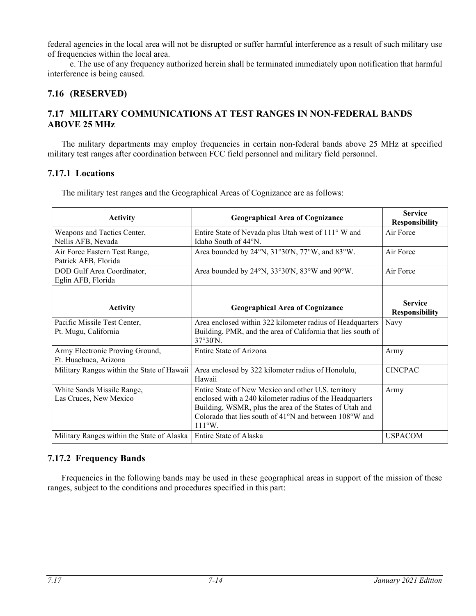federal agencies in the local area will not be disrupted or suffer harmful interference as a result of such military use of frequencies within the local area.

e. The use of any frequency authorized herein shall be terminated immediately upon notification that harmful interference is being caused.

# **7.16 (RESERVED)**

# **7.17 MILITARY COMMUNICATIONS AT TEST RANGES IN NON-FEDERAL BANDS ABOVE 25 MHz**

The military departments may employ frequencies in certain non-federal bands above 25 MHz at specified military test ranges after coordination between FCC field personnel and military field personnel.

#### **7.17.1 Locations**

The military test ranges and the Geographical Areas of Cognizance are as follows:

| <b>Activity</b>                                          | <b>Geographical Area of Cognizance</b>                                                                                                                                                                                                                   | <b>Service</b><br><b>Responsibility</b> |
|----------------------------------------------------------|----------------------------------------------------------------------------------------------------------------------------------------------------------------------------------------------------------------------------------------------------------|-----------------------------------------|
| Weapons and Tactics Center,<br>Nellis AFB, Nevada        | Entire State of Nevada plus Utah west of 111° W and<br>Idaho South of 44°N.                                                                                                                                                                              | Air Force                               |
| Air Force Eastern Test Range,<br>Patrick AFB, Florida    | Area bounded by 24°N, 31°30'N, 77°W, and 83°W.                                                                                                                                                                                                           | Air Force                               |
| DOD Gulf Area Coordinator,<br>Eglin AFB, Florida         | Area bounded by 24°N, 33°30'N, 83°W and 90°W.                                                                                                                                                                                                            | Air Force                               |
|                                                          |                                                                                                                                                                                                                                                          |                                         |
| <b>Activity</b>                                          | <b>Geographical Area of Cognizance</b>                                                                                                                                                                                                                   | <b>Service</b><br><b>Responsibility</b> |
| Pacific Missile Test Center,<br>Pt. Mugu, California     | Area enclosed within 322 kilometer radius of Headquarters<br>Building, PMR, and the area of California that lies south of<br>$37°30'N$ .                                                                                                                 | Navy                                    |
| Army Electronic Proving Ground,<br>Ft. Huachuca, Arizona | Entire State of Arizona                                                                                                                                                                                                                                  | Army                                    |
| Military Ranges within the State of Hawaii               | Area enclosed by 322 kilometer radius of Honolulu,<br>Hawaii                                                                                                                                                                                             | <b>CINCPAC</b>                          |
| White Sands Missile Range,<br>Las Cruces, New Mexico     | Entire State of New Mexico and other U.S. territory<br>enclosed with a 240 kilometer radius of the Headquarters<br>Building, WSMR, plus the area of the States of Utah and<br>Colorado that lies south of 41°N and between 108°W and<br>$111^{\circ}$ W. | Army                                    |
| Military Ranges within the State of Alaska               | Entire State of Alaska                                                                                                                                                                                                                                   | <b>USPACOM</b>                          |

# **7.17.2 Frequency Bands**

Frequencies in the following bands may be used in these geographical areas in support of the mission of these ranges, subject to the conditions and procedures specified in this part: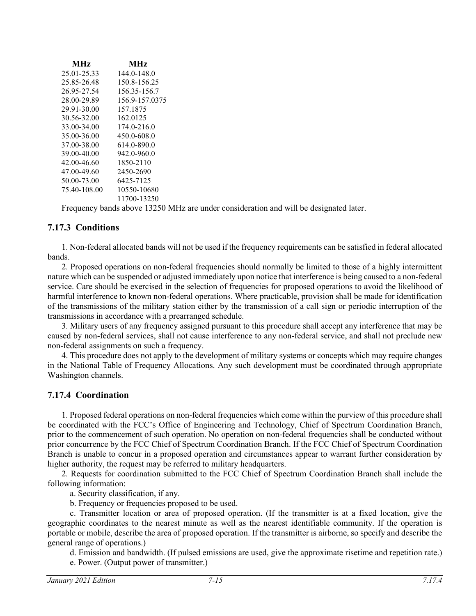| <b>MHz</b>   | MHz            |
|--------------|----------------|
| 25.01-25.33  | 144.0-148.0    |
| 25.85-26.48  | 150.8-156.25   |
| 26.95-27.54  | 156.35-156.7   |
| 28.00-29.89  | 156.9-157.0375 |
| 29.91-30.00  | 157.1875       |
| 30.56-32.00  | 162.0125       |
| 33.00-34.00  | 174.0-216.0    |
| 35.00-36.00  | 450.0-608.0    |
| 37.00-38.00  | 614.0-890.0    |
| 39.00-40.00  | 942.0-960.0    |
| 42.00-46.60  | 1850-2110      |
| 47.00-49.60  | 2450-2690      |
| 50.00-73.00  | 6425-7125      |
| 75.40-108.00 | 10550-10680    |
|              | 11700-13250    |

Frequency bands above 13250 MHz are under consideration and will be designated later.

# **7.17.3 Conditions**

1. Non-federal allocated bands will not be used if the frequency requirements can be satisfied in federal allocated bands.

2. Proposed operations on non-federal frequencies should normally be limited to those of a highly intermittent nature which can be suspended or adjusted immediately upon notice that interference is being caused to a non-federal service. Care should be exercised in the selection of frequencies for proposed operations to avoid the likelihood of harmful interference to known non-federal operations. Where practicable, provision shall be made for identification of the transmissions of the military station either by the transmission of a call sign or periodic interruption of the transmissions in accordance with a prearranged schedule.

3. Military users of any frequency assigned pursuant to this procedure shall accept any interference that may be caused by non-federal services, shall not cause interference to any non-federal service, and shall not preclude new non-federal assignments on such a frequency.

4. This procedure does not apply to the development of military systems or concepts which may require changes in the National Table of Frequency Allocations. Any such development must be coordinated through appropriate Washington channels.

# **7.17.4 Coordination**

1. Proposed federal operations on non-federal frequencies which come within the purview of this procedure shall be coordinated with the FCC's Office of Engineering and Technology, Chief of Spectrum Coordination Branch, prior to the commencement of such operation. No operation on non-federal frequencies shall be conducted without prior concurrence by the FCC Chief of Spectrum Coordination Branch. If the FCC Chief of Spectrum Coordination Branch is unable to concur in a proposed operation and circumstances appear to warrant further consideration by higher authority, the request may be referred to military headquarters.

2. Requests for coordination submitted to the FCC Chief of Spectrum Coordination Branch shall include the following information:

a. Security classification, if any.

b. Frequency or frequencies proposed to be used.

c. Transmitter location or area of proposed operation. (If the transmitter is at a fixed location, give the geographic coordinates to the nearest minute as well as the nearest identifiable community. If the operation is portable or mobile, describe the area of proposed operation. If the transmitter is airborne, so specify and describe the general range of operations.)

d. Emission and bandwidth. (If pulsed emissions are used, give the approximate risetime and repetition rate.) e. Power. (Output power of transmitter.)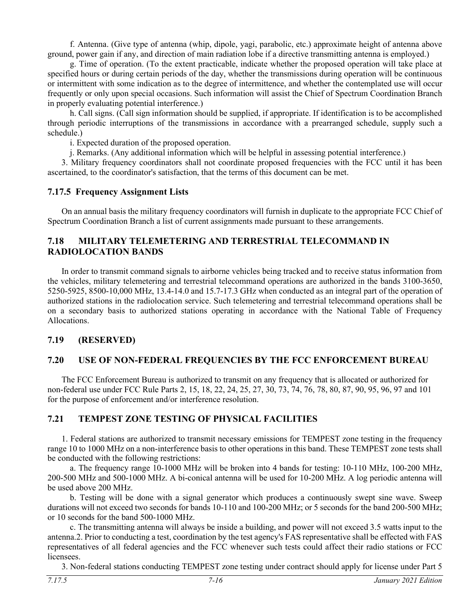f. Antenna. (Give type of antenna (whip, dipole, yagi, parabolic, etc.) approximate height of antenna above ground, power gain if any, and direction of main radiation lobe if a directive transmitting antenna is employed.)

g. Time of operation. (To the extent practicable, indicate whether the proposed operation will take place at specified hours or during certain periods of the day, whether the transmissions during operation will be continuous or intermittent with some indication as to the degree of intermittence, and whether the contemplated use will occur frequently or only upon special occasions. Such information will assist the Chief of Spectrum Coordination Branch in properly evaluating potential interference.)

h. Call signs. (Call sign information should be supplied, if appropriate. If identification is to be accomplished through periodic interruptions of the transmissions in accordance with a prearranged schedule, supply such a schedule.)

i. Expected duration of the proposed operation.

j. Remarks. (Any additional information which will be helpful in assessing potential interference.)

3. Military frequency coordinators shall not coordinate proposed frequencies with the FCC until it has been ascertained, to the coordinator's satisfaction, that the terms of this document can be met.

#### **7.17.5 Frequency Assignment Lists**

On an annual basis the military frequency coordinators will furnish in duplicate to the appropriate FCC Chief of Spectrum Coordination Branch a list of current assignments made pursuant to these arrangements.

#### **7.18 MILITARY TELEMETERING AND TERRESTRIAL TELECOMMAND IN RADIOLOCATION BANDS**

In order to transmit command signals to airborne vehicles being tracked and to receive status information from the vehicles, military telemetering and terrestrial telecommand operations are authorized in the bands 3100-3650, 5250-5925, 8500-10,000 MHz, 13.4-14.0 and 15.7-17.3 GHz when conducted as an integral part of the operation of authorized stations in the radiolocation service. Such telemetering and terrestrial telecommand operations shall be on a secondary basis to authorized stations operating in accordance with the National Table of Frequency Allocations.

# **7.19 (RESERVED)**

# **7.20 USE OF NON-FEDERAL FREQUENCIES BY THE FCC ENFORCEMENT BUREAU**

The FCC Enforcement Bureau is authorized to transmit on any frequency that is allocated or authorized for non-federal use under FCC Rule Parts 2, 15, 18, 22, 24, 25, 27, 30, 73, 74, 76, 78, 80, 87, 90, 95, 96, 97 and 101 for the purpose of enforcement and/or interference resolution.

# **7.21 TEMPEST ZONE TESTING OF PHYSICAL FACILITIES**

1. Federal stations are authorized to transmit necessary emissions for TEMPEST zone testing in the frequency range 10 to 1000 MHz on a non-interference basis to other operations in this band. These TEMPEST zone tests shall be conducted with the following restrictions:

a. The frequency range 10-1000 MHz will be broken into 4 bands for testing: 10-110 MHz, 100-200 MHz, 200-500 MHz and 500-1000 MHz. A bi-conical antenna will be used for 10-200 MHz. A log periodic antenna will be used above 200 MHz.

b. Testing will be done with a signal generator which produces a continuously swept sine wave. Sweep durations will not exceed two seconds for bands 10-110 and 100-200 MHz; or 5 seconds for the band 200-500 MHz; or 10 seconds for the band 500-1000 MHz.

c. The transmitting antenna will always be inside a building, and power will not exceed 3.5 watts input to the antenna.2. Prior to conducting a test, coordination by the test agency's FAS representative shall be effected with FAS representatives of all federal agencies and the FCC whenever such tests could affect their radio stations or FCC licensees.

3. Non-federal stations conducting TEMPEST zone testing under contract should apply for license under Part 5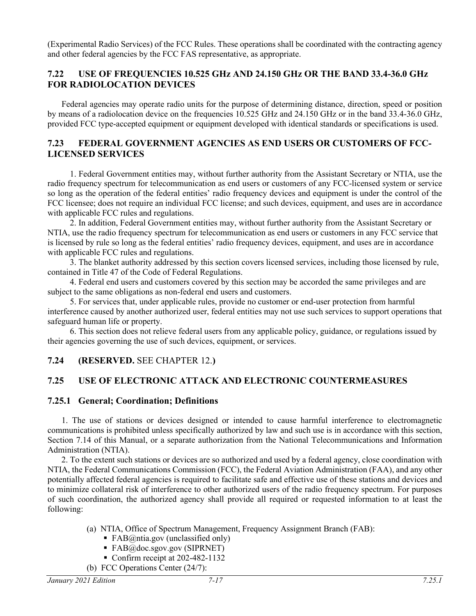(Experimental Radio Services) of the FCC Rules. These operations shall be coordinated with the contracting agency and other federal agencies by the FCC FAS representative, as appropriate.

# **7.22 USE OF FREQUENCIES 10.525 GHz AND 24.150 GHz OR THE BAND 33.4-36.0 GHz FOR RADIOLOCATION DEVICES**

Federal agencies may operate radio units for the purpose of determining distance, direction, speed or position by means of a radiolocation device on the frequencies 10.525 GHz and 24.150 GHz or in the band 33.4-36.0 GHz, provided FCC type-accepted equipment or equipment developed with identical standards or specifications is used.

# **7.23 FEDERAL GOVERNMENT AGENCIES AS END USERS OR CUSTOMERS OF FCC-LICENSED SERVICES**

1. Federal Government entities may, without further authority from the Assistant Secretary or NTIA, use the radio frequency spectrum for telecommunication as end users or customers of any FCC-licensed system or service so long as the operation of the federal entities' radio frequency devices and equipment is under the control of the FCC licensee; does not require an individual FCC license; and such devices, equipment, and uses are in accordance with applicable FCC rules and regulations.

2. In addition, Federal Government entities may, without further authority from the Assistant Secretary or NTIA, use the radio frequency spectrum for telecommunication as end users or customers in any FCC service that is licensed by rule so long as the federal entities' radio frequency devices, equipment, and uses are in accordance with applicable FCC rules and regulations.

3. The blanket authority addressed by this section covers licensed services, including those licensed by rule, contained in Title 47 of the Code of Federal Regulations.

4. Federal end users and customers covered by this section may be accorded the same privileges and are subject to the same obligations as non-federal end users and customers.

5. For services that, under applicable rules, provide no customer or end-user protection from harmful interference caused by another authorized user, federal entities may not use such services to support operations that safeguard human life or property.

6. This section does not relieve federal users from any applicable policy, guidance, or regulations issued by their agencies governing the use of such devices, equipment, or services.

# **7.24 (RESERVED.** SEE CHAPTER 12.**)**

# **7.25 USE OF ELECTRONIC ATTACK AND ELECTRONIC COUNTERMEASURES**

#### **7.25.1 General; Coordination; Definitions**

1. The use of stations or devices designed or intended to cause harmful interference to electromagnetic communications is prohibited unless specifically authorized by law and such use is in accordance with this section, Section 7.14 of this Manual, or a separate authorization from the National Telecommunications and Information Administration (NTIA).

2. To the extent such stations or devices are so authorized and used by a federal agency, close coordination with NTIA, the Federal Communications Commission (FCC), the Federal Aviation Administration (FAA), and any other potentially affected federal agencies is required to facilitate safe and effective use of these stations and devices and to minimize collateral risk of interference to other authorized users of the radio frequency spectrum. For purposes of such coordination, the authorized agency shall provide all required or requested information to at least the following:

- (a) NTIA, Office of Spectrum Management, Frequency Assignment Branch (FAB):
	- FAB@ntia.gov (unclassified only)
	- FAB@doc.sgov.gov (SIPRNET)
	- Confirm receipt at 202-482-1132
- (b) FCC Operations Center (24/7):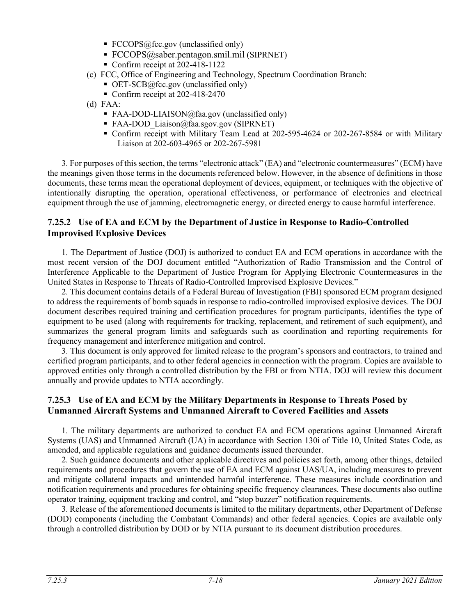- FCCOPS@fcc.gov (unclassified only)
- FCCOPS@saber.pentagon.smil.mil (SIPRNET)
- Confirm receipt at 202-418-1122
- (c) FCC, Office of Engineering and Technology, Spectrum Coordination Branch:
	- $\bullet$  OET-SCB@fcc.gov (unclassified only)
	- Confirm receipt at 202-418-2470
- (d) FAA:
	- FAA-DOD-LIAISON@faa.gov (unclassified only)
	- FAA-DOD Liaison@faa.sgov.gov (SIPRNET)
	- Confirm receipt with Military Team Lead at 202-595-4624 or 202-267-8584 or with Military Liaison at 202-603-4965 or 202-267-5981

3. For purposes of this section, the terms "electronic attack" (EA) and "electronic countermeasures" (ECM) have the meanings given those terms in the documents referenced below. However, in the absence of definitions in those documents, these terms mean the operational deployment of devices, equipment, or techniques with the objective of intentionally disrupting the operation, operational effectiveness, or performance of electronics and electrical equipment through the use of jamming, electromagnetic energy, or directed energy to cause harmful interference.

# **7.25.2 Use of EA and ECM by the Department of Justice in Response to Radio-Controlled Improvised Explosive Devices**

1. The Department of Justice (DOJ) is authorized to conduct EA and ECM operations in accordance with the most recent version of the DOJ document entitled "Authorization of Radio Transmission and the Control of Interference Applicable to the Department of Justice Program for Applying Electronic Countermeasures in the United States in Response to Threats of Radio-Controlled Improvised Explosive Devices."

2. This document contains details of a Federal Bureau of Investigation (FBI) sponsored ECM program designed to address the requirements of bomb squads in response to radio-controlled improvised explosive devices. The DOJ document describes required training and certification procedures for program participants, identifies the type of equipment to be used (along with requirements for tracking, replacement, and retirement of such equipment), and summarizes the general program limits and safeguards such as coordination and reporting requirements for frequency management and interference mitigation and control.

3. This document is only approved for limited release to the program's sponsors and contractors, to trained and certified program participants, and to other federal agencies in connection with the program. Copies are available to approved entities only through a controlled distribution by the FBI or from NTIA. DOJ will review this document annually and provide updates to NTIA accordingly.

# **7.25.3 Use of EA and ECM by the Military Departments in Response to Threats Posed by Unmanned Aircraft Systems and Unmanned Aircraft to Covered Facilities and Assets**

1. The military departments are authorized to conduct EA and ECM operations against Unmanned Aircraft Systems (UAS) and Unmanned Aircraft (UA) in accordance with Section 130i of Title 10, United States Code, as amended, and applicable regulations and guidance documents issued thereunder.

2. Such guidance documents and other applicable directives and policies set forth, among other things, detailed requirements and procedures that govern the use of EA and ECM against UAS/UA, including measures to prevent and mitigate collateral impacts and unintended harmful interference. These measures include coordination and notification requirements and procedures for obtaining specific frequency clearances. These documents also outline operator training, equipment tracking and control, and "stop buzzer" notification requirements.

3. Release of the aforementioned documents is limited to the military departments, other Department of Defense (DOD) components (including the Combatant Commands) and other federal agencies. Copies are available only through a controlled distribution by DOD or by NTIA pursuant to its document distribution procedures.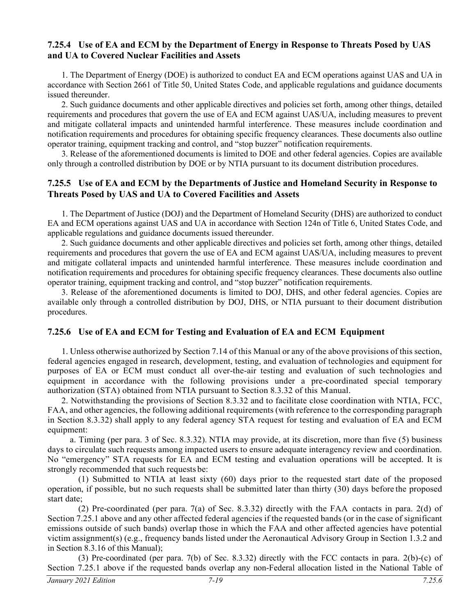#### **7.25.4 Use of EA and ECM by the Department of Energy in Response to Threats Posed by UAS and UA to Covered Nuclear Facilities and Assets**

1. The Department of Energy (DOE) is authorized to conduct EA and ECM operations against UAS and UA in accordance with Section 2661 of Title 50, United States Code, and applicable regulations and guidance documents issued thereunder.

2. Such guidance documents and other applicable directives and policies set forth, among other things, detailed requirements and procedures that govern the use of EA and ECM against UAS/UA, including measures to prevent and mitigate collateral impacts and unintended harmful interference. These measures include coordination and notification requirements and procedures for obtaining specific frequency clearances. These documents also outline operator training, equipment tracking and control, and "stop buzzer" notification requirements.

3. Release of the aforementioned documents is limited to DOE and other federal agencies. Copies are available only through a controlled distribution by DOE or by NTIA pursuant to its document distribution procedures.

#### **7.25.5 Use of EA and ECM by the Departments of Justice and Homeland Security in Response to Threats Posed by UAS and UA to Covered Facilities and Assets**

1. The Department of Justice (DOJ) and the Department of Homeland Security (DHS) are authorized to conduct EA and ECM operations against UAS and UA in accordance with Section 124n of Title 6, United States Code, and applicable regulations and guidance documents issued thereunder.

2. Such guidance documents and other applicable directives and policies set forth, among other things, detailed requirements and procedures that govern the use of EA and ECM against UAS/UA, including measures to prevent and mitigate collateral impacts and unintended harmful interference. These measures include coordination and notification requirements and procedures for obtaining specific frequency clearances. These documents also outline operator training, equipment tracking and control, and "stop buzzer" notification requirements.

3. Release of the aforementioned documents is limited to DOJ, DHS, and other federal agencies. Copies are available only through a controlled distribution by DOJ, DHS, or NTIA pursuant to their document distribution procedures.

#### **7.25.6 Use of EA and ECM for Testing and Evaluation of EA and ECM Equipment**

1. Unless otherwise authorized by Section 7.14 of this Manual or any of the above provisions of this section, federal agencies engaged in research, development, testing, and evaluation of technologies and equipment for purposes of EA or ECM must conduct all over-the-air testing and evaluation of such technologies and equipment in accordance with the following provisions under a pre-coordinated special temporary authorization (STA) obtained from NTIA pursuant to Section 8.3.32 of this Manual.

2. Notwithstanding the provisions of Section 8.3.32 and to facilitate close coordination with NTIA, FCC, FAA, and other agencies, the following additional requirements (with reference to the corresponding paragraph in Section 8.3.32) shall apply to any federal agency STA request for testing and evaluation of EA and ECM equipment:

a. Timing (per para. 3 of Sec. 8.3.32). NTIA may provide, at its discretion, more than five (5) business days to circulate such requests among impacted users to ensure adequate interagency review and coordination. No "emergency" STA requests for EA and ECM testing and evaluation operations will be accepted. It is strongly recommended that such requests be:

(1) Submitted to NTIA at least sixty (60) days prior to the requested start date of the proposed operation, if possible, but no such requests shall be submitted later than thirty (30) days before the proposed start date;

(2) Pre-coordinated (per para. 7(a) of Sec. 8.3.32) directly with the FAA contacts in para. 2(d) of Section 7.25.1 above and any other affected federal agencies if the requested bands (or in the case of significant emissions outside of such bands) overlap those in which the FAA and other affected agencies have potential victim assignment(s) (e.g., frequency bands listed under the Aeronautical Advisory Group in Section 1.3.2 and in Section 8.3.16 of this Manual);

(3) Pre-coordinated (per para. 7(b) of Sec. 8.3.32) directly with the FCC contacts in para. 2(b)-(c) of Section 7.25.1 above if the requested bands overlap any non-Federal allocation listed in the National Table of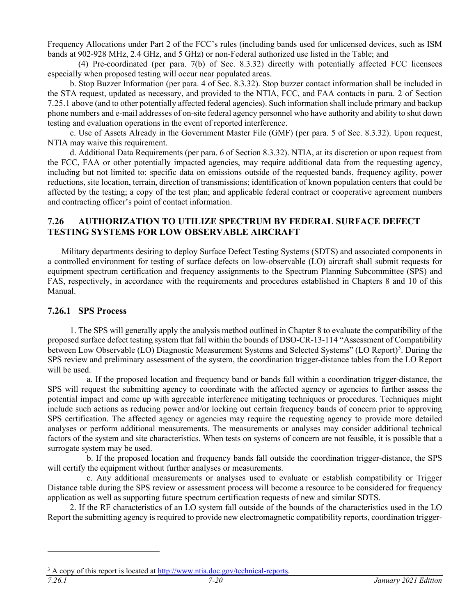Frequency Allocations under Part 2 of the FCC's rules (including bands used for unlicensed devices, such as ISM bands at 902-928 MHz, 2.4 GHz, and 5 GHz) or non-Federal authorized use listed in the Table; and

(4) Pre-coordinated (per para. 7(b) of Sec. 8.3.32) directly with potentially affected FCC licensees especially when proposed testing will occur near populated areas.

b. Stop Buzzer Information (per para. 4 of Sec. 8.3.32). Stop buzzer contact information shall be included in the STA request, updated as necessary, and provided to the NTIA, FCC, and FAA contacts in para. 2 of Section 7.25.1 above (and to other potentially affected federal agencies). Such information shall include primary and backup phone numbers and e-mail addresses of on-site federal agency personnel who have authority and ability to shut down testing and evaluation operations in the event of reported interference.

c. Use of Assets Already in the Government Master File (GMF) (per para. 5 of Sec. 8.3.32). Upon request, NTIA may waive this requirement.

d. Additional Data Requirements (per para. 6 of Section 8.3.32). NTIA, at its discretion or upon request from the FCC, FAA or other potentially impacted agencies, may require additional data from the requesting agency, including but not limited to: specific data on emissions outside of the requested bands, frequency agility, power reductions, site location, terrain, direction of transmissions; identification of known population centers that could be affected by the testing; a copy of the test plan; and applicable federal contract or cooperative agreement numbers and contracting officer's point of contact information.

#### **7.26 AUTHORIZATION TO UTILIZE SPECTRUM BY FEDERAL SURFACE DEFECT TESTING SYSTEMS FOR LOW OBSERVABLE AIRCRAFT**

Military departments desiring to deploy Surface Defect Testing Systems (SDTS) and associated components in a controlled environment for testing of surface defects on low-observable (LO) aircraft shall submit requests for equipment spectrum certification and frequency assignments to the Spectrum Planning Subcommittee (SPS) and FAS, respectively, in accordance with the requirements and procedures established in Chapters 8 and 10 of this Manual.

#### **7.26.1 SPS Process**

1. The SPS will generally apply the analysis method outlined in Chapter 8 to evaluate the compatibility of the proposed surface defect testing system that fall within the bounds of DSO-CR-13-114 "Assessment of Compatibility between Low Observable (LO) Diagnostic Measurement Systems and Selected Systems" (LO Report)<sup>[3](#page-19-0)</sup>. During the SPS review and preliminary assessment of the system, the coordination trigger-distance tables from the LO Report will be used.

a. If the proposed location and frequency band or bands fall within a coordination trigger-distance, the SPS will request the submitting agency to coordinate with the affected agency or agencies to further assess the potential impact and come up with agreeable interference mitigating techniques or procedures. Techniques might include such actions as reducing power and/or locking out certain frequency bands of concern prior to approving SPS certification. The affected agency or agencies may require the requesting agency to provide more detailed analyses or perform additional measurements. The measurements or analyses may consider additional technical factors of the system and site characteristics. When tests on systems of concern are not feasible, it is possible that a surrogate system may be used.

b. If the proposed location and frequency bands fall outside the coordination trigger-distance, the SPS will certify the equipment without further analyses or measurements.

c. Any additional measurements or analyses used to evaluate or establish compatibility or Trigger Distance table during the SPS review or assessment process will become a resource to be considered for frequency application as well as supporting future spectrum certification requests of new and similar SDTS.

2. If the RF characteristics of an LO system fall outside of the bounds of the characteristics used in the LO Report the submitting agency is required to provide new electromagnetic compatibility reports, coordination trigger-

<span id="page-19-0"></span> $3$  A copy of this report is located at [http://www.ntia.doc.gov/technical-reports.](http://www.ntia.doc.gov/technical-reports)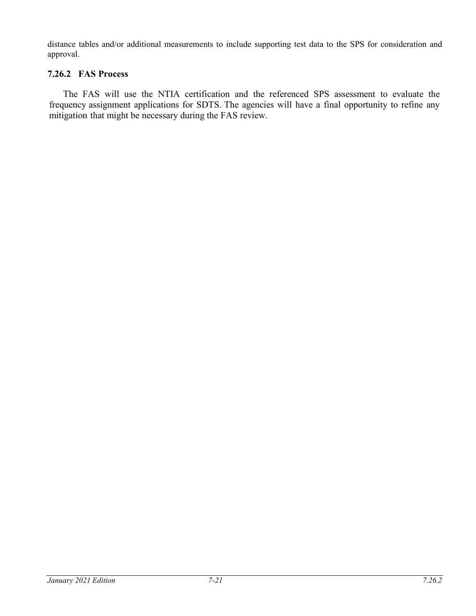distance tables and/or additional measurements to include supporting test data to the SPS for consideration and approval.

# **7.26.2 FAS Process**

The FAS will use the NTIA certification and the referenced SPS assessment to evaluate the frequency assignment applications for SDTS. The agencies will have a final opportunity to refine any mitigation that might be necessary during the FAS review.